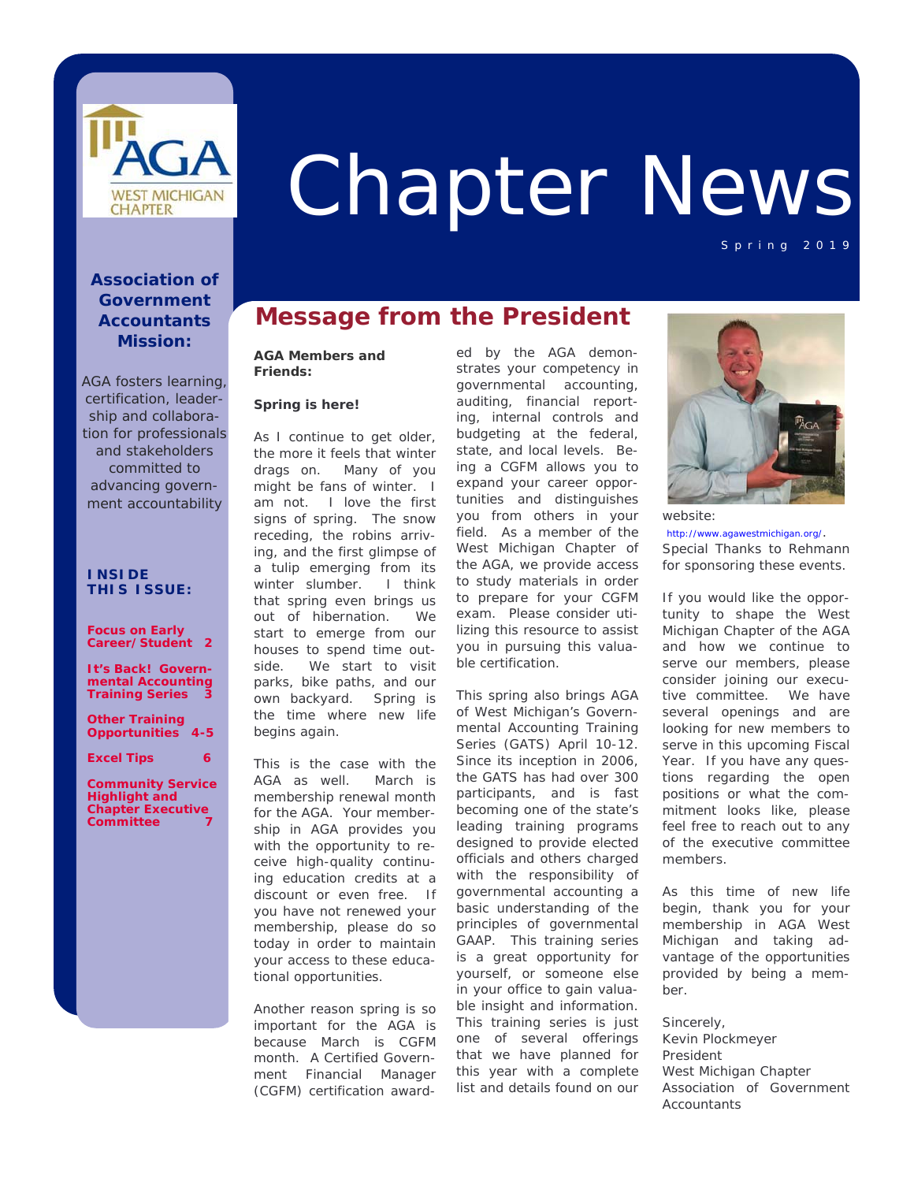

# Chapter News

#### **Association of Government Accountants Mission:**

*AGA fosters learning, certification, leadership and collaboration for professionals and stakeholders committed to advancing government accountability*

#### **I N S I DE T H I S ISSUE:**

#### **Focus on Early Career/Student 2**

*It's Back!* **Governmental Accounting Training Series 3** 

**Other Training Opportunities 4-5** 

#### **Excel Tips 6**

**Community Service Highlight and Chapter Executive Committee 7** 

## **Message from the President**

#### **AGA Members and Friends:**

#### **Spring is here!**

As I continue to get older, the more it feels that winter drags on. Many of you might be fans of winter. I am not. I love the first signs of spring. The snow receding, the robins arriving, and the first glimpse of a tulip emerging from its winter slumber. I think that spring even brings us out of hibernation. We start to emerge from our houses to spend time outside. We start to visit parks, bike paths, and our own backyard. Spring is the time where new life begins again.

This is the case with the AGA as well. March is membership renewal month for the AGA. Your membership in AGA provides you with the opportunity to receive high-quality continuing education credits at a discount or even free. If you have not renewed your membership, please do so today in order to maintain your access to these educational opportunities.

Another reason spring is so important for the AGA is because March is CGFM month. A Certified Government Financial Manager (CGFM) certification award-

ed by the AGA demonstrates your competency in governmental accounting, auditing, financial reporting, internal controls and budgeting at the federal, state, and local levels. Being a CGFM allows you to expand your career opportunities and distinguishes you from others in your field. As a member of the West Michigan Chapter of the AGA, we provide access to study materials in order to prepare for your CGFM exam. Please consider utilizing this resource to assist you in pursuing this valuable certification.

This spring also brings AGA of West Michigan's Governmental Accounting Training Series (GATS) April 10-12. Since its inception in 2006, the GATS has had over 300 participants, and is fast becoming one of the state's leading training programs designed to provide elected officials and others charged with the responsibility of governmental accounting a basic understanding of the principles of governmental GAAP. This training series is a great opportunity for yourself, or someone else in your office to gain valuable insight and information. This training series is just one of several offerings that we have planned for this year with a complete list and details found on our



Spring 2019

http://www.agawestmichigan.org/. Special Thanks to Rehmann for sponsoring these events.

If you would like the opportunity to shape the West Michigan Chapter of the AGA and how we continue to serve our members, please consider joining our executive committee. We have several openings and are looking for new members to serve in this upcoming Fiscal Year. If you have any questions regarding the open positions or what the commitment looks like, please feel free to reach out to any of the executive committee members.

As this time of new life begin, thank you for your membership in AGA West Michigan and taking advantage of the opportunities provided by being a member.

Sincerely, Kevin Plockmeyer President West Michigan Chapter Association of Government **Accountants**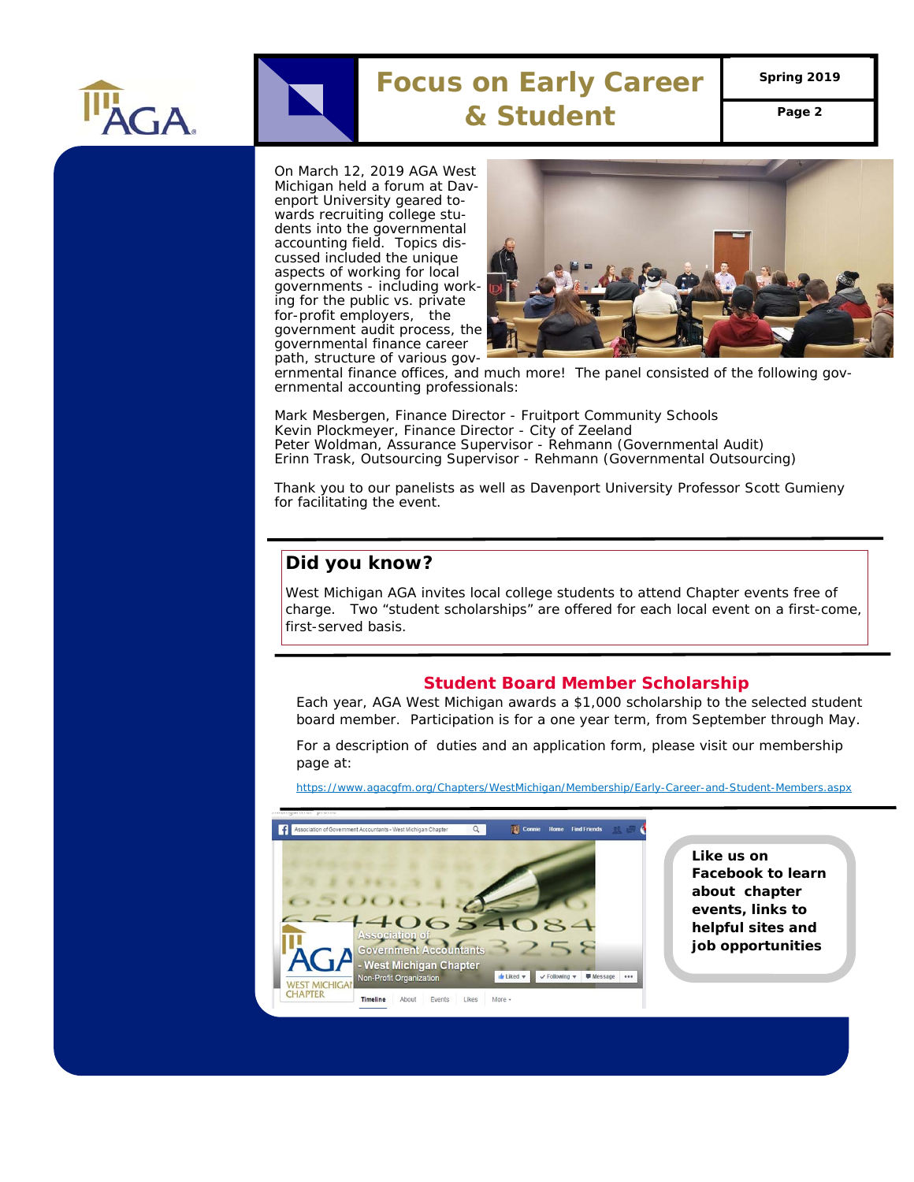

# **Focus on Early Career**

**Spring 2019** 

**& Student Page 2** 

On March 12, 2019 AGA West Michigan held a forum at Davenport University geared towards recruiting college students into the governmental accounting field. Topics discussed included the unique aspects of working for local governments - including working for the public vs. private for-profit employers, the government audit process, the governmental finance career path, structure of various gov-



ernmental finance offices, and much more! The panel consisted of the following governmental accounting professionals:

Mark Mesbergen, Finance Director - Fruitport Community Schools Kevin Plockmeyer, Finance Director - City of Zeeland Peter Woldman, Assurance Supervisor - Rehmann (Governmental Audit) Erinn Trask, Outsourcing Supervisor - Rehmann (Governmental Outsourcing)

Thank you to our panelists as well as Davenport University Professor Scott Gumieny for facilitating the event.

### **Did you know?**

West Michigan AGA invites local college students to attend Chapter events free of charge. Two "student scholarships" are offered for each local event on a first-come, first-served basis.

#### **Student Board Member Scholarship**

Each year, AGA West Michigan awards a \$1,000 scholarship to the selected student board member. Participation is for a one year term, from September through May.

For a description of duties and an application form, please visit our membership page at:

https://www.agacgfm.org/Chapters/WestMichigan/Membership/Early-Career-and-Student-Members.aspx



**Like us on Facebook to learn about chapter events, links to helpful sites and job opportunities**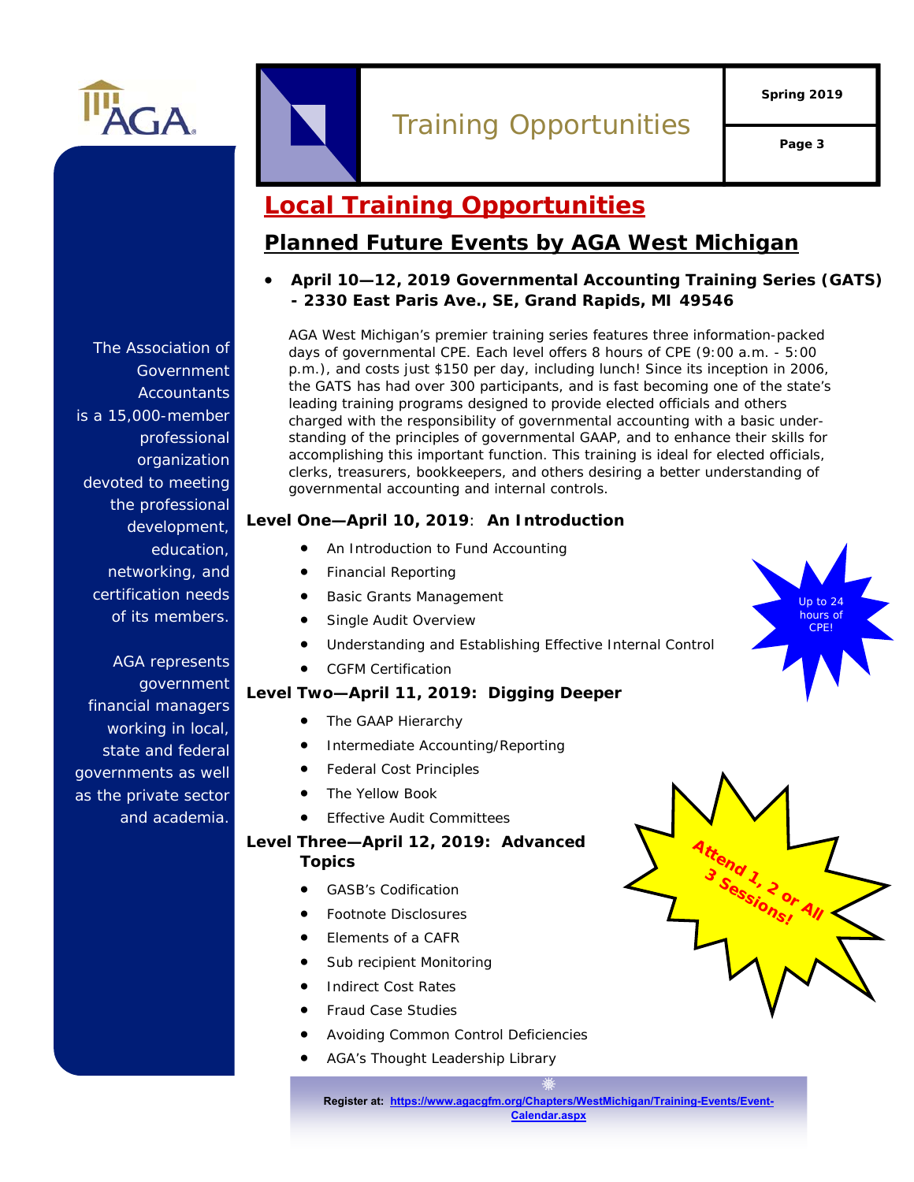

# Training Opportunities

**Spring 2019** 

**Page 3** 

Up to 24 hours of CPE!

## **Local Training Opportunities**

## **Planned Future Events by AGA West Michigan**

 **April 10—12, 2019 Governmental Accounting Training Series (GATS) - 2330 East Paris Ave., SE, Grand Rapids, MI 49546** 

AGA West Michigan's premier training series features three information-packed days of governmental CPE. Each level offers 8 hours of CPE (9:00 a.m. - 5:00 p.m.), and costs just \$150 per day, including lunch! Since its inception in 2006, the GATS has had over 300 participants, and is fast becoming one of the state's leading training programs designed to provide elected officials and others charged with the responsibility of governmental accounting with a basic understanding of the principles of governmental GAAP, and to enhance their skills for accomplishing this important function. This training is ideal for elected officials, clerks, treasurers, bookkeepers, and others desiring a better understanding of governmental accounting and internal controls*.* 

#### **Level One—April 10, 2019**: **An Introduction**

- An Introduction to Fund Accounting
- Financial Reporting
- Basic Grants Management
- Single Audit Overview
- Understanding and Establishing Effective Internal Control
- CGFM Certification

## **Level Two—April 11, 2019: Digging Deeper**

- The GAAP Hierarchy
- Intermediate Accounting/Reporting
- Federal Cost Principles
- The Yellow Book
- Effective Audit Committees

## **Level Three—April 12, 2019: Advanced Topics**

- GASB's Codification
- Footnote Disclosures
- Elements of a CAFR
- Sub recipient Monitoring
- Indirect Cost Rates
- Fraud Case Studies
- Avoiding Common Control Deficiencies
- AGA's Thought Leadership Library



**Register at: https://www.agacgfm.org/Chapters/WestMichigan/Training-Events/Event-Calendar.aspx**

The Association of Government **Accountants** is a 15,000-member professional organization devoted to meeting the professional development, education, networking, and certification needs of its members.

AGA represents government financial managers working in local, state and federal governments as well as the private sector and academia.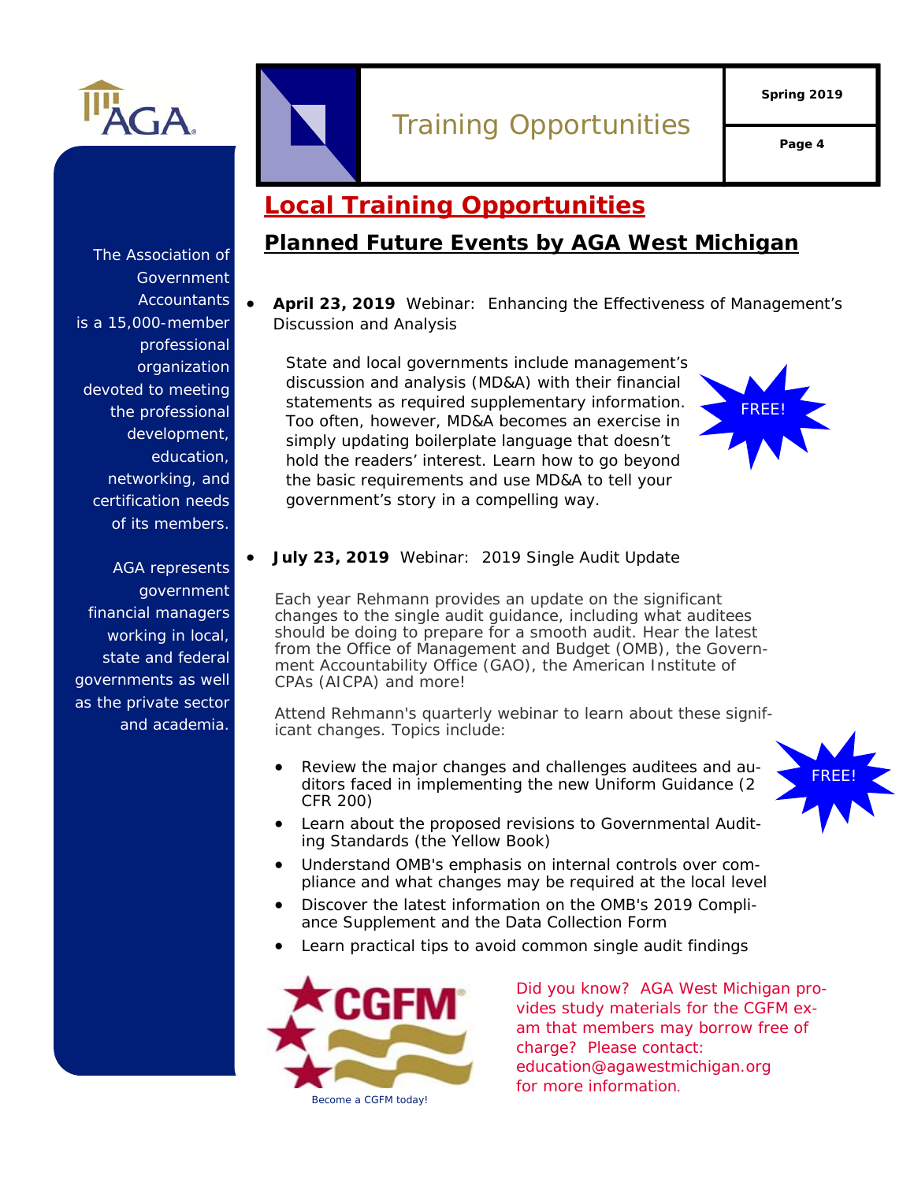

# Training Opportunities

**Page 4** 

# **Local Training Opportunities**

## **Planned Future Events by AGA West Michigan**

 **April 23, 2019** Webinar: Enhancing the Effectiveness of Management's Discussion and Analysis

State and local governments include management's discussion and analysis (MD&A) with their financial statements as required supplementary information. Too often, however, MD&A becomes an exercise in simply updating boilerplate language that doesn't hold the readers' interest. Learn how to go beyond the basic requirements and use MD&A to tell your government's story in a compelling way.



FREE!

#### **July 23, 2019** Webinar: 2019 Single Audit Update

Each year Rehmann provides an update on the significant changes to the single audit guidance, including what auditees should be doing to prepare for a smooth audit. Hear the latest from the Office of Management and Budget (OMB), the Government Accountability Office (GAO), the American Institute of CPAs (AICPA) and more!

Attend Rehmann's quarterly webinar to learn about these significant changes. Topics include:

- Review the major changes and challenges auditees and auditors faced in implementing the new Uniform Guidance (2 CFR 200)
- Learn about the proposed revisions to Governmental Auditing Standards (the Yellow Book)
- Understand OMB's emphasis on internal controls over compliance and what changes may be required at the local level
- Discover the latest information on the OMB's 2019 Compliance Supplement and the Data Collection Form
- Learn practical tips to avoid common single audit findings



*Did you know? AGA West Michigan provides study materials for the CGFM exam that members may borrow free of charge? Please contact: education@agawestmichigan.org for more information.*

The Association of Government **Accountants** is a 15,000-member professional organization devoted to meeting the professional development, education, networking, and certification needs of its members.

AGA represents government financial managers working in local, state and federal governments as well as the private sector and academia.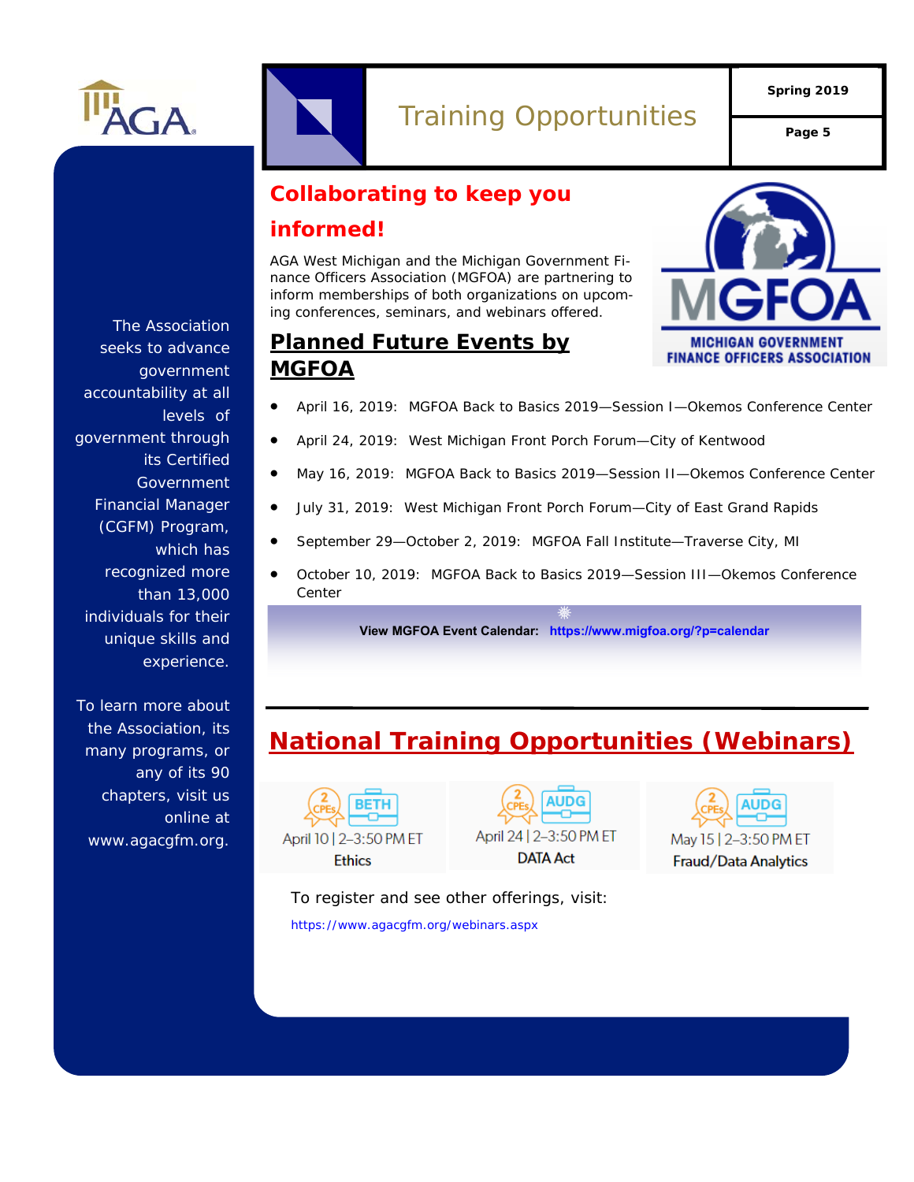

# Training Opportunities **Page 5**

**Spring 2019** 

## **Collaborating to keep you informed!**

AGA West Michigan and the Michigan Government Finance Officers Association (MGFOA) are partnering to inform memberships of both organizations on upcoming conferences, seminars, and webinars offered.



## **Planned Future Events by MGFOA**

- April 16, 2019: MGFOA Back to Basics 2019—Session I—Okemos Conference Center
- April 24, 2019: West Michigan Front Porch Forum—City of Kentwood
- May 16, 2019: MGFOA Back to Basics 2019—Session II—Okemos Conference Center
- July 31, 2019: West Michigan Front Porch Forum—City of East Grand Rapids
- September 29—October 2, 2019: MGFOA Fall Institute—Traverse City, MI
- October 10, 2019: MGFOA Back to Basics 2019—Session III—Okemos Conference Center

**View MGFOA Event Calendar: https://www.migfoa.org/?p=calendar**

# **National Training Opportunities (Webinars)**







To register and see other offerings, visit: https://www.agacgfm.org/webinars.aspx

The Association seeks to advance government accountability at all levels of government through its Certified **Government** Financial Manager (CGFM) Program, which has recognized more than 13,000 individuals for their unique skills and experience.

To learn more about the Association, its many programs, or any of its 90 chapters, visit us online at www.agacgfm.org.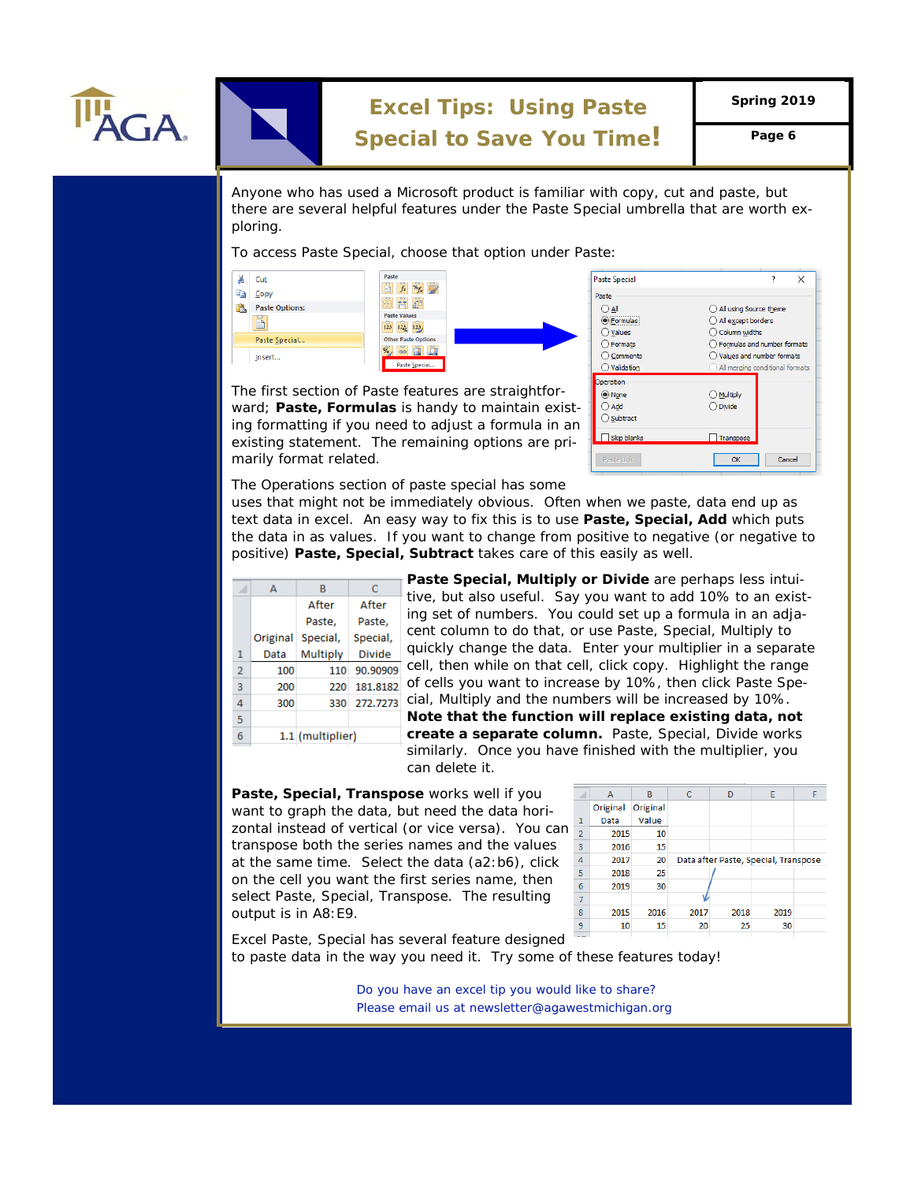

# **Excel Tips: Using Paste**

**Spring 2019** 

## **Special to Save You Time!** Page 6

Anyone who has used a Microsoft product is familiar with copy, cut and paste, but there are several helpful features under the Paste Special umbrella that are worth exploring.

To access Paste Special, choose that option under Paste:



The first section of Paste features are straightforward; **Paste, Formulas** is handy to maintain existing formatting if you need to adjust a formula in an existing statement. The remaining options are primarily format related.

| <b>Paste Special</b> | ×                               |  |
|----------------------|---------------------------------|--|
| Paste                |                                 |  |
| All                  | All using Source theme          |  |
| Formulas             | All except borders              |  |
| Values               | Column widths                   |  |
| Formats              | Formulas and number formats     |  |
| $\bigcirc$ Comments  | Values and number formats       |  |
| ◯ Validation         | All merging conditional formats |  |
| Operation            |                                 |  |
| ◉ None               | $\bigcirc$ Multiply             |  |
| Add                  | $\bigcirc$ Divide               |  |
| ◯ Subtract           |                                 |  |
| Skip blanks          | Transpose                       |  |
| Paste Link           | Cancel<br>OK                    |  |

The Operations section of paste special has some

uses that might not be immediately obvious. Often when we paste, data end up as text data in excel. An easy way to fix this is to use **Paste, Special, Add** which puts the data in as values. If you want to change from positive to negative (or negative to positive) **Paste, Special, Subtract** takes care of this easily as well.

| F  | Ċ                | B        | А        |                |
|----|------------------|----------|----------|----------------|
| t  | After            | After    |          |                |
| iı |                  |          |          |                |
| C  | Paste.           | Paste.   |          |                |
|    | Special,         | Special, | Original |                |
| C  | <b>Divide</b>    | Multiply | Data     | 1              |
| C  | 90.90909         | 110      | 100      | $\overline{2}$ |
| C  | 181.8182         | 220      | 200      | 3              |
| C  | 272,7273         | 330      | 300      | 4              |
| ı  |                  |          |          | 5              |
| C  | 1.1 (multiplier) |          |          | 6              |
| S  |                  |          |          |                |

**Paste Special, Multiply or Divide** are perhaps less intuitive, but also useful. Say you want to add 10% to an existng set of numbers. You could set up a formula in an adjacent column to do that, or use Paste, Special, Multiply to quickly change the data. Enter your multiplier in a separate cell, then while on that cell, click copy. Highlight the range of cells you want to increase by 10%, then click Paste Special, Multiply and the numbers will be increased by 10%. *Note that the function will replace existing data, not create a separate column.* Paste, Special, Divide works similarly. Once you have finished with the multiplier, you can delete it.

**Paste, Special, Transpose** works well if you want to graph the data, but need the data horizontal instead of vertical (or vice versa). You can  $\frac{1}{2}$ transpose both the series names and the values at the same time. Select the data (a2:b6), click on the cell you want the first series name, then select Paste, Special, Transpose. The resulting output is in A8:E9.



Excel Paste, Special has several feature designed to paste data in the way you need it. Try some of these features today!

> *Do you have an excel tip you would like to share? Do you have an excel tip you would like to share? Please email us at newsletter@agawestmichigan.org Please email us at newsletter@agawestmichigan.org*